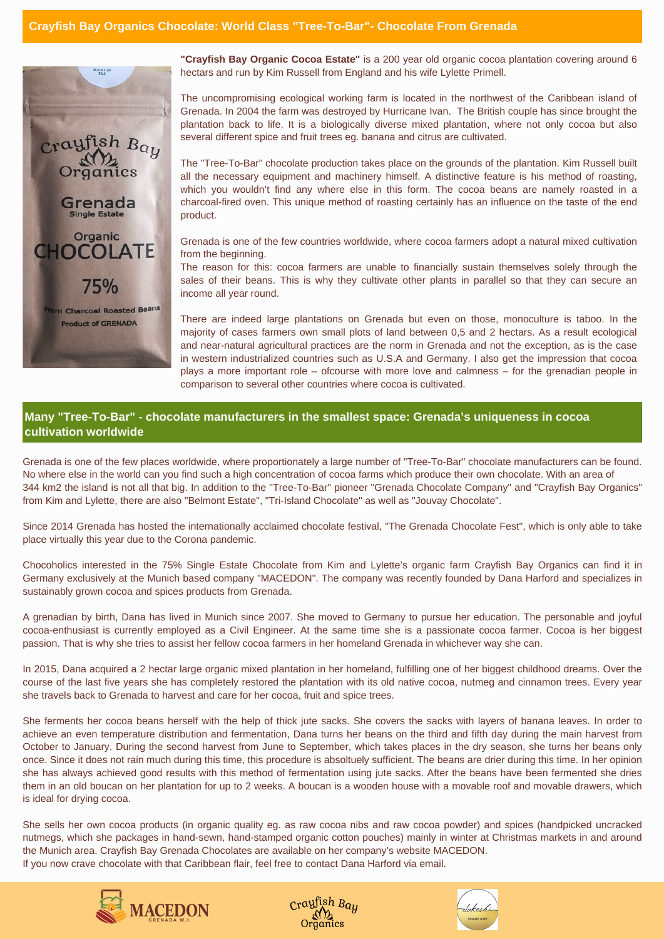**"Crayfish Bay Organic Cocoa Estate"** is a 200 year old organic cocoa plantation covering around 6 hectars and run by Kim Russell from England and his wife Lylette Primell.

The uncompromising ecological working farm is located in the northwest of the Caribbean island of Grenada. In 2004 the farm was destroyed by Hurricane Ivan. The British couple has since brought the plantation back to life. It is a biologically diverse mixed plantation, where not only cocoa but also several different spice and fruit trees eg. banana and citrus are cultivated.

The "Tree-To-Bar" chocolate production takes place on the grounds of the plantation. Kim Russell built all the necessary equipment and machinery himself. A distinctive feature is his method of roasting, which you wouldn't find any where else in this form. The cocoa beans are namely roasted in a charcoal-fired oven. This unique method of roasting certainly has an influence on the taste of the end product.

Grenada is one of the few countries worldwide, where cocoa farmers adopt a natural mixed cultivation from the beginning.

The reason for this: cocoa farmers are unable to financially sustain themselves solely through the sales of their beans. This is why they cultivate other plants in parallel so that they can secure an income all year round.

There are indeed large plantations on Grenada but even on those, monoculture is taboo. In the majority of cases farmers own small plots of land between 0,5 and 2 hectars. As a result ecological and near-natural agricultural practices are the norm in Grenada and not the exception, as is the case in western industrialized countries such as U.S.A and Germany. I also get the impression that cocoa plays a more important role – ofcourse with more love and calmness – for the grenadian people in comparison to several other countries where cocoa is cultivated.

Grenada is one of the few places worldwide, where proportionately a large number of "Tree-To-Bar" chocolate manufacturers can be found. No where else in the world can you find such a high concentration of cocoa farms which produce their own chocolate. With an area of 344 km2 the island is not all that big. In addition to the "Tree-To-Bar" pioneer "Grenada Chocolate Company" and "Crayfish Bay Organics" from Kim and Lylette, there are also "Belmont Estate", "Tri-Island Chocolate" as well as "Jouvay Chocolate".

Since 2014 Grenada has hosted the internationally acclaimed chocolate festival, "The Grenada Chocolate Fest", which is only able to take place virtually this year due to the Corona pandemic.

Chocoholics interested in the 75% Single Estate Chocolate from Kim and Lylette's organic farm Crayfish Bay Organics can find it in Germany exclusively at the Munich based company "MACEDON". The company was recently founded by Dana Harford and specializes in sustainably grown cocoa and spices products from Grenada.

A grenadian by birth, Dana has lived in Munich since 2007. She moved to Germany to pursue her education. The personable and joyful cocoa-enthusiast is currently employed as a Civil Engineer. At the same time she is a passionate cocoa farmer. Cocoa is her biggest passion. That is why she tries to assist her fellow cocoa farmers in her homeland Grenada in whichever way she can.

In 2015, Dana acquired a 2 hectar large organic mixed plantation in her homeland, fulfilling one of her biggest childhood dreams. Over the course of the last five years she has completely restored the plantation with its old native cocoa, nutmeg and cinnamon trees. Every year she travels back to Grenada to harvest and care for her cocoa, fruit and spice trees.

She ferments her cocoa beans herself with the help of thick jute sacks. She covers the sacks with layers of banana leaves. In order to achieve an even temperature distribution and fermentation, Dana turns her beans on the third and fifth day during the main harvest from October to January. During the second harvest from June to September, which takes places in the dry season, she turns her beans only once. Since it does not rain much during this time, this procedure is absoltuely sufficient. The beans are drier during this time. In her opinion she has always achieved good results with this method of fermentation using jute sacks. After the beans have been fermented she dries them in an old boucan on her plantation for up to 2 weeks. A boucan is a wooden house with a movable roof and movable drawers, which is ideal for drying cocoa.

She sells her own cocoa products (in organic quality eg. as raw cocoa nibs and raw cocoa powder) and spices (handpicked uncracked nutmegs, which she packages in hand-sewn, hand-stamped organic cotton pouches) mainly in winter at Christmas markets in and around the Munich area. Crayfish Bay Grenada Chocolates are available on her company's website MACEDON. If you now crave chocolate with that Caribbean flair, feel free to contact Dana Harford via email.









## **Many "Tree-To-Bar" - chocolate manufacturers in the smallest space: Grenada's uniqueness in cocoa cultivation worldwide**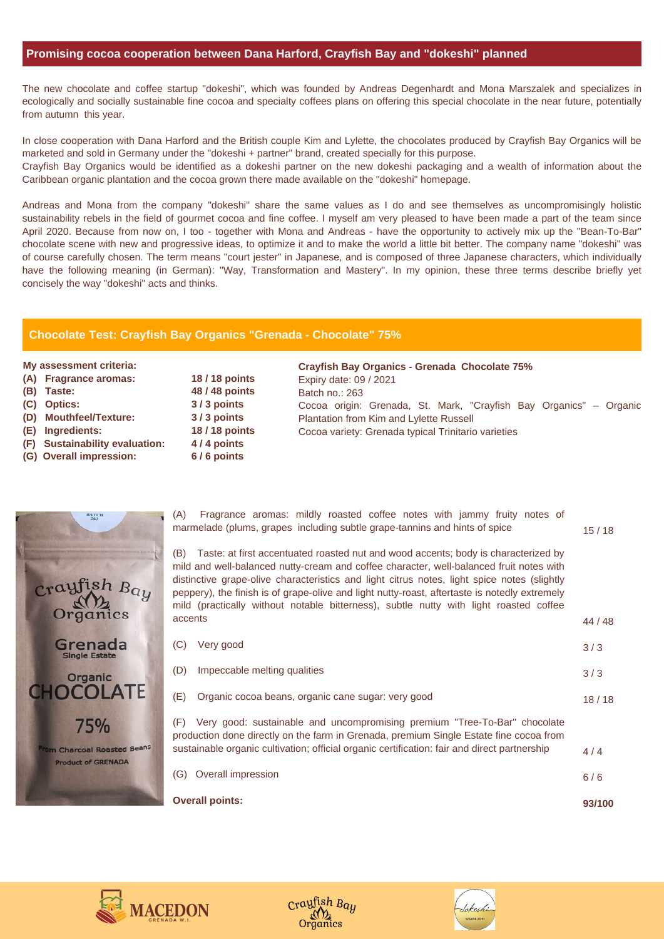## **Chocolate Test: Crayfish Bay Organics "Grenada - Chocolate" 75%**

|                                                  | <b>Overall points:</b>                                                                                                                                                                                                                                                                                                                                                                                                                                                                   | 93/100  |
|--------------------------------------------------|------------------------------------------------------------------------------------------------------------------------------------------------------------------------------------------------------------------------------------------------------------------------------------------------------------------------------------------------------------------------------------------------------------------------------------------------------------------------------------------|---------|
|                                                  | <b>Overall impression</b><br>(G)                                                                                                                                                                                                                                                                                                                                                                                                                                                         | $6/6$   |
| 75%<br>harcoal Roasted Beans<br>oduct of GRENADA | Very good: sustainable and uncompromising premium "Tree-To-Bar" chocolate<br>(F)<br>production done directly on the farm in Grenada, premium Single Estate fine cocoa from<br>sustainable organic cultivation; official organic certification: fair and direct partnership                                                                                                                                                                                                               | 4/4     |
| <b>COLATE</b>                                    | Organic cocoa beans, organic cane sugar: very good<br>(E)                                                                                                                                                                                                                                                                                                                                                                                                                                | 18/18   |
| Organic                                          | Impeccable melting qualities<br>(D)                                                                                                                                                                                                                                                                                                                                                                                                                                                      | 3/3     |
| irenada<br><b>Single Estate</b>                  | Very good<br>(C)                                                                                                                                                                                                                                                                                                                                                                                                                                                                         | 3/3     |
| $y$ fish Bay<br>rganics                          | Taste: at first accentuated roasted nut and wood accents; body is characterized by<br>(B)<br>mild and well-balanced nutty-cream and coffee character, well-balanced fruit notes with<br>distinctive grape-olive characteristics and light citrus notes, light spice notes (slightly<br>peppery), the finish is of grape-olive and light nutty-roast, aftertaste is notedly extremely<br>mild (practically without notable bitterness), subtle nutty with light roasted coffee<br>accents | 44 / 48 |
| <b>BATCH</b>                                     | Fragrance aromas: mildly roasted coffee notes with jammy fruity notes of<br>(A)<br>marmelade (plums, grapes including subtle grape-tannins and hints of spice                                                                                                                                                                                                                                                                                                                            | 15/18   |



**CHC** 

Tom C





## **Promising cocoa cooperation between Dana Harford, Crayfish Bay and "dokeshi" planned**

The new chocolate and coffee startup "dokeshi", which was founded by Andreas Degenhardt and Mona Marszalek and specializes in ecologically and socially sustainable fine cocoa and specialty coffees plans on offering this special chocolate in the near future, potentially from autumn this year.

In close cooperation with Dana Harford and the British couple Kim and Lylette, the chocolates produced by Crayfish Bay Organics will be marketed and sold in Germany under the "dokeshi + partner" brand, created specially for this purpose.

Crayfish Bay Organics would be identified as a dokeshi partner on the new dokeshi packaging and a wealth of information about the Caribbean organic plantation and the cocoa grown there made available on the "dokeshi" homepage.

Andreas and Mona from the company "dokeshi" share the same values as I do and see themselves as uncompromisingly holistic sustainability rebels in the field of gourmet cocoa and fine coffee. I myself am very pleased to have been made a part of the team since April 2020. Because from now on, I too - together with Mona and Andreas - have the opportunity to actively mix up the "Bean-To-Bar" chocolate scene with new and progressive ideas, to optimize it and to make the world a little bit better. The company name "dokeshi" was of course carefully chosen. The term means "court jester" in Japanese, and is composed of three Japanese characters, which individually have the following meaning (in German): "Way, Transformation and Mastery". In my opinion, these three terms describe briefly yet concisely the way "dokeshi" acts and thinks.